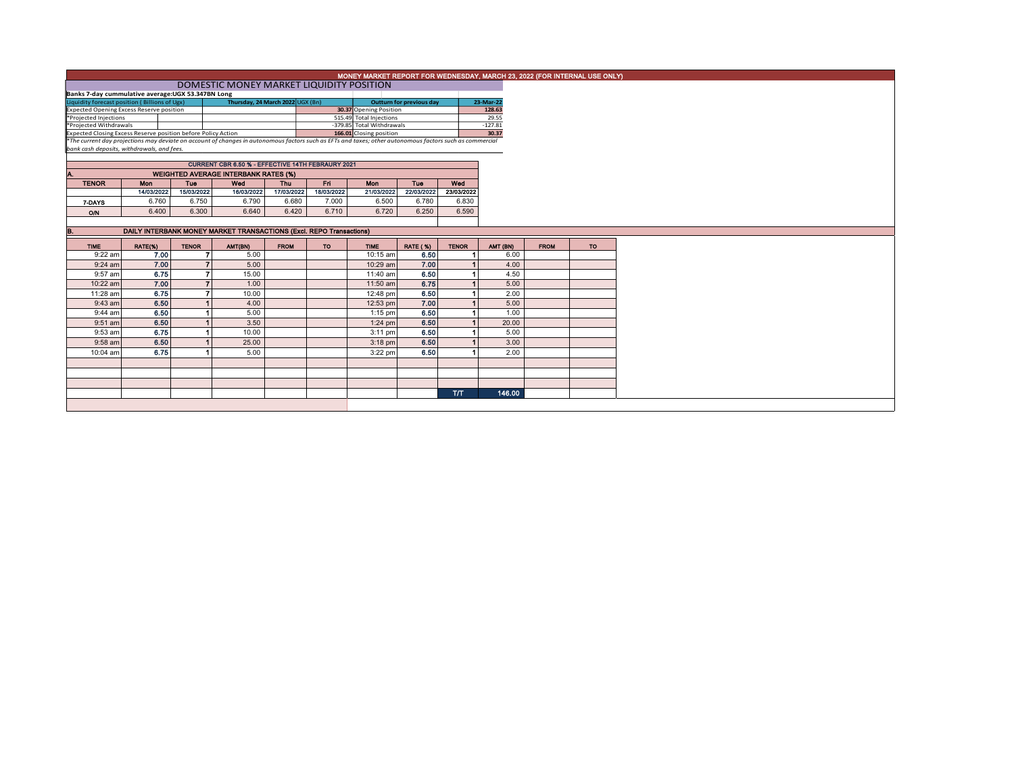|                                                                                                                                                                                                                                                      |                                                   |                |                                                                     |                         |            |                           |                                 |              | MONEY MARKET REPORT FOR WEDNESDAY, MARCH 23, 2022 (FOR INTERNAL USE ONLY) |             |           |
|------------------------------------------------------------------------------------------------------------------------------------------------------------------------------------------------------------------------------------------------------|---------------------------------------------------|----------------|---------------------------------------------------------------------|-------------------------|------------|---------------------------|---------------------------------|--------------|---------------------------------------------------------------------------|-------------|-----------|
|                                                                                                                                                                                                                                                      |                                                   |                | DOMESTIC MONEY MARKET LIQUIDITY POSITION                            |                         |            |                           |                                 |              |                                                                           |             |           |
|                                                                                                                                                                                                                                                      | Banks 7-day cummulative average:UGX 53.347BN Long |                |                                                                     |                         |            |                           |                                 |              |                                                                           |             |           |
| Thursday, 24 March 2022 UGX (Bn)<br>Liquidity forecast position (Billions of Ugx)                                                                                                                                                                    |                                                   |                |                                                                     |                         |            |                           | <b>Outturn for previous day</b> |              | 23-Mar-22                                                                 |             |           |
| Expected Opening Excess Reserve position                                                                                                                                                                                                             |                                                   |                |                                                                     |                         |            | 30.37 Opening Position    |                                 |              | 128.63                                                                    |             |           |
| *Projected Injections                                                                                                                                                                                                                                |                                                   |                |                                                                     | 515.49 Total Injections |            |                           | 29.55                           |              |                                                                           |             |           |
| *Projected Withdrawals                                                                                                                                                                                                                               |                                                   |                |                                                                     |                         |            | -379.85 Total Withdrawals |                                 |              | $-127.81$                                                                 |             |           |
| Expected Closing Excess Reserve position before Policy Action<br>166.01 Closing position<br>*The current day projections may deviate on account of changes in autonomous factors such as EFTs and taxes; other autonomous factors such as commercial |                                                   |                |                                                                     |                         |            |                           |                                 | 30.37        |                                                                           |             |           |
|                                                                                                                                                                                                                                                      | bank cash deposits, withdrawals, and fees.        |                |                                                                     |                         |            |                           |                                 |              |                                                                           |             |           |
|                                                                                                                                                                                                                                                      |                                                   |                |                                                                     |                         |            |                           |                                 |              |                                                                           |             |           |
|                                                                                                                                                                                                                                                      |                                                   |                | <b>CURRENT CBR 6.50 % - EFFECTIVE 14TH FEBRAURY 2021</b>            |                         |            |                           |                                 |              |                                                                           |             |           |
|                                                                                                                                                                                                                                                      |                                                   |                | <b>WEIGHTED AVERAGE INTERBANK RATES (%)</b>                         |                         |            |                           |                                 |              |                                                                           |             |           |
| <b>TENOR</b>                                                                                                                                                                                                                                         | <b>Mon</b>                                        | <b>Tue</b>     | Wed                                                                 | <b>Thu</b>              | Fri        | Mon                       | <b>Tue</b>                      | Wed          |                                                                           |             |           |
|                                                                                                                                                                                                                                                      | 14/03/2022                                        | 15/03/2022     | 16/03/2022                                                          | 17/03/2022              | 18/03/2022 | 21/03/2022                | 22/03/2022                      | 23/03/2022   |                                                                           |             |           |
|                                                                                                                                                                                                                                                      | 6.760                                             | 6.750          | 6.790                                                               | 6.680                   | 7.000      | 6.500                     | 6.780                           | 6.830        |                                                                           |             |           |
| 7-DAYS                                                                                                                                                                                                                                               |                                                   |                |                                                                     |                         |            |                           |                                 |              |                                                                           |             |           |
| O/N                                                                                                                                                                                                                                                  | 6.400                                             | 6.300          | 6.640                                                               | 6.420                   | 6.710      | 6.720                     | 6.250                           | 6.590        |                                                                           |             |           |
|                                                                                                                                                                                                                                                      |                                                   |                |                                                                     |                         |            |                           |                                 |              |                                                                           |             |           |
| в.                                                                                                                                                                                                                                                   |                                                   |                | DAILY INTERBANK MONEY MARKET TRANSACTIONS (Excl. REPO Transactions) |                         |            |                           |                                 |              |                                                                           |             |           |
| <b>TIME</b>                                                                                                                                                                                                                                          | RATE(%)                                           | <b>TENOR</b>   | AMT(BN)                                                             | <b>FROM</b>             | TO         | <b>TIME</b>               | <b>RATE (%)</b>                 | <b>TENOR</b> | AMT (BN)                                                                  | <b>FROM</b> | <b>TO</b> |
| $9:22$ am                                                                                                                                                                                                                                            | 7.00                                              | 7              | 5.00                                                                |                         |            | 10:15 am                  | 6.50                            |              | 6.00                                                                      |             |           |
| $9:24$ am                                                                                                                                                                                                                                            | 7.00                                              | $\overline{7}$ | 5.00                                                                |                         |            | 10:29 am                  | 7.00                            |              | 4.00                                                                      |             |           |
| 9:57 am                                                                                                                                                                                                                                              | 6.75                                              | $\overline{ }$ | 15.00                                                               |                         |            | 11:40 am                  | 6.50                            |              | 4.50                                                                      |             |           |
| 10:22 am                                                                                                                                                                                                                                             | 7.00                                              | $\overline{7}$ | 1.00                                                                |                         |            | 11:50 am                  | 6.75                            |              | 5.00                                                                      |             |           |
| 11:28 am                                                                                                                                                                                                                                             | 6.75                                              |                | 10.00                                                               |                         |            | 12:48 pm                  | 6.50                            |              | 2.00                                                                      |             |           |
| $9:43$ am                                                                                                                                                                                                                                            | 6.50                                              |                | 4.00                                                                |                         |            | 12:53 pm                  | 7.00                            |              | 5.00                                                                      |             |           |
|                                                                                                                                                                                                                                                      |                                                   |                |                                                                     |                         |            |                           |                                 |              |                                                                           |             |           |
| 9:44 am                                                                                                                                                                                                                                              | 6.50                                              |                | 5.00                                                                |                         |            | $1:15$ pm                 | 6.50                            |              | 1.00                                                                      |             |           |
| $9:51$ am                                                                                                                                                                                                                                            | 6.50                                              |                | 3.50                                                                |                         |            | $1:24$ pm                 | 6.50                            |              | 20.00                                                                     |             |           |
| 9:53 am                                                                                                                                                                                                                                              | 6.75                                              |                | 10.00                                                               |                         |            | $3:11$ pm                 | 6.50                            |              | 5.00                                                                      |             |           |
| 9:58 am                                                                                                                                                                                                                                              | 6.50                                              |                | 25.00                                                               |                         |            | $3:18$ pm                 | 6.50                            |              | 3.00                                                                      |             |           |
| 10:04 am                                                                                                                                                                                                                                             | 6.75                                              |                | 5.00                                                                |                         |            | $3:22$ pm                 | 6.50                            |              | 2.00                                                                      |             |           |
|                                                                                                                                                                                                                                                      |                                                   |                |                                                                     |                         |            |                           |                                 |              |                                                                           |             |           |
|                                                                                                                                                                                                                                                      |                                                   |                |                                                                     |                         |            |                           |                                 |              |                                                                           |             |           |
|                                                                                                                                                                                                                                                      |                                                   |                |                                                                     |                         |            |                           |                                 |              |                                                                           |             |           |
|                                                                                                                                                                                                                                                      |                                                   |                |                                                                     |                         |            |                           |                                 |              |                                                                           |             |           |
|                                                                                                                                                                                                                                                      |                                                   |                |                                                                     |                         |            |                           |                                 |              |                                                                           |             |           |
|                                                                                                                                                                                                                                                      |                                                   |                |                                                                     |                         |            |                           |                                 | <b>T/T</b>   | 146.00                                                                    |             |           |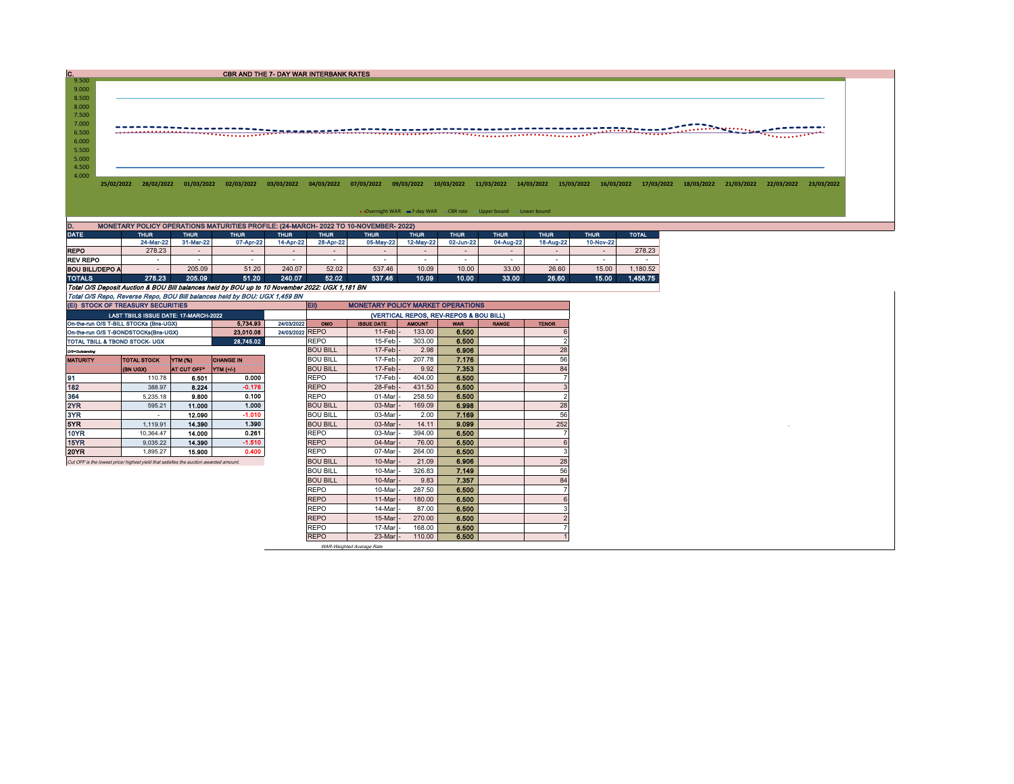CBR AND THE 7- DAY WAR INTERBANK RATES

9.000 8.500<br>8.000<br>7.500<br>7.000 6.500 5.500 6.000 5.000 4.500 4.000

25/02/2022 28/02/2022 01/03/2022 02/03/2022 03/03/2022 04/03/2022 07/03/2022 09/03/2022 10/03/2022 11/03/2022 14/03/2022 15/03/2022 15/03/2022 15/03/2022 18/03/2022 21/03/2022 22/03/2022 22/03/2022

• Overnight WAR = 7-day WAR CBR rate - Upper bound - Lower bound

| ID.<br>MONETARY POLICY OPERATIONS MATURITIES PROFILE: (24-MARCH- 2022 TO 10-NOVEMBER- 2022)    |             |             |             |             |             |                          |                          |             |                          |             |             |              |  |  |
|------------------------------------------------------------------------------------------------|-------------|-------------|-------------|-------------|-------------|--------------------------|--------------------------|-------------|--------------------------|-------------|-------------|--------------|--|--|
| <b>DATE</b>                                                                                    | <b>THUR</b> | <b>THUR</b> | <b>THUR</b> | <b>THUR</b> | <b>THUR</b> | <b>THUR</b>              | <b>THUR</b>              | <b>THUR</b> | <b>THUR</b>              | <b>THUR</b> | <b>THUR</b> | <b>TOTAL</b> |  |  |
|                                                                                                | 24-Mar-22   | 31-Mar-22   | 07-Apr-22   | 14-Apr-22   | 28-Apr-22   | 05-May-22                | 12-May-22                | 02-Jun-22   | 04-Aug-22                | 18-Aug-22   | 10-Nov-22   |              |  |  |
| <b>REPO</b>                                                                                    | 278.23      | $\sim$      |             |             | -           | $\overline{\phantom{a}}$ | $\overline{\phantom{0}}$ | $\sim$      | $\overline{\phantom{0}}$ | $\sim$      | $\sim$      | 278.23       |  |  |
| <b>REV REPO</b>                                                                                | . .         |             | ۰           |             |             | $\overline{\phantom{a}}$ | -                        | . .         | -                        |             |             |              |  |  |
| <b>BOU BILL/DEPO A</b>                                                                         |             | 205.09      | 51.20       | 240.07      | 52.02       | 537.46                   | 10.09                    | 10.00       | 33.00                    | 26.60       | 15.00       | .180.52      |  |  |
| <b>TOTALS</b>                                                                                  | 278.23      | 205.09      | 51.20       | 240.07      | 52.02       | 537.46                   | 10.09                    | 10.00       | 33.00                    | 26.60       | 15.00       | 1.458.75     |  |  |
| Total O/S Deposit Auction & BOU Bill balances held by BOU up to 10 November 2022: UGX 1,181 BN |             |             |             |             |             |                          |                          |             |                          |             |             |              |  |  |
| Total O/S Repo. Reverse Repo. BOU Bill balances held by BOU: UGX 1.459 BN                      |             |             |             |             |             |                          |                          |             |                          |             |             |              |  |  |

 $C.$  9.500

| (EI) STOCK OF TREASURY SECURITIES                                                     |                                       |                    |                  |        | <b>EID</b><br><b>MONETARY POLICY MARKET OPERATIONS</b> |                     |               |            |              |              |  |  |  |
|---------------------------------------------------------------------------------------|---------------------------------------|--------------------|------------------|--------|--------------------------------------------------------|---------------------|---------------|------------|--------------|--------------|--|--|--|
|                                                                                       | LAST TBIILS ISSUE DATE: 17-MARCH-2022 |                    |                  |        | (VERTICAL REPOS, REV-REPOS & BOU BILL)                 |                     |               |            |              |              |  |  |  |
| 5.734.93<br>24/03/2022<br>On-the-run O/S T-BILL STOCKs (Bns-UGX)                      |                                       |                    |                  |        |                                                        | <b>ISSUE DATE</b>   | <b>AMOUNT</b> | <b>WAR</b> | <b>RANGE</b> | <b>TENOR</b> |  |  |  |
| 23.010.08<br>On-the-run O/S T-BONDSTOCKs(Bns-UGX)                                     |                                       |                    |                  |        | 24/03/2022 REPO                                        | $11$ -Feb           | 133.00        | 6.500      |              |              |  |  |  |
| TOTAL TBILL & TBOND STOCK- UGX                                                        |                                       | <b>REPO</b>        | 15-Feb           | 303.00 | 6.500                                                  |                     |               |            |              |              |  |  |  |
| O/S=Outstanding                                                                       |                                       |                    |                  |        | <b>BOU BILL</b>                                        | $17$ -Feb $\vert$ - | 2.98          | 6.906      |              | 28           |  |  |  |
| <b>MATURITY</b>                                                                       | <b>TOTAL STOCK</b>                    | <b>YTM (%)</b>     | <b>CHANGE IN</b> |        | <b>BOU BILL</b>                                        | 17-Feb              | 207.78        | 7.176      |              | 56           |  |  |  |
|                                                                                       | (BN UGX)                              | <b>AT CUT OFF*</b> | <b>YTM</b> (+/-) |        | <b>BOU BILL</b>                                        | 17-Feb              | 9.92          | 7.353      |              | 84           |  |  |  |
| 91                                                                                    | 110.78                                | 6.501              | 0.000            |        | <b>REPO</b>                                            | 17-Feb              | 404.00        | 6.500      |              |              |  |  |  |
| 182                                                                                   | 388.97                                | 8.224              | $-0.176$         |        | <b>REPO</b>                                            | 28-Feb              | 431.50        | 6.500      |              | 3            |  |  |  |
| 364                                                                                   | 5.235.18                              | 9.800              | 0.100            |        | <b>REPO</b>                                            | 01-Mar              | 258.50        | 6.500      |              |              |  |  |  |
| 2YR                                                                                   | 595.21                                | 11.000             | 1.000            |        | <b>BOU BILL</b>                                        | 03-Mar              | 169.09        | 6.998      |              | 28           |  |  |  |
| 3YR                                                                                   | $\overline{\phantom{a}}$              | 12.090             | $-1.010$         |        | <b>BOU BILL</b>                                        | 03-Mar              | 2.00          | 7.169      |              | 56           |  |  |  |
| 5YR                                                                                   | 1.119.91                              | 14,390             | 1.390            |        | <b>BOU BILL</b>                                        | 03-Mar              | 14.11         | 9.099      |              | 252          |  |  |  |
| 10YR                                                                                  | 10.364.47                             | 14.000             | 0.261            |        | REPO                                                   | 03-Mar              | 394.00        | 6.500      |              |              |  |  |  |
| 15YR                                                                                  | 9.035.22                              | 14.390             | $-1.510$         |        | <b>REPO</b>                                            | 04-Mar              | 76.00         | 6.500      |              |              |  |  |  |
| <b>20YR</b>                                                                           | 1.895.27                              | 15,900             | 0.400            |        | <b>REPO</b>                                            | 07-Mar              | 264.00        | 6.500      |              |              |  |  |  |
| Cut OFF is the lowest price/ highest yield that satisfies the auction awarded amount. |                                       |                    |                  |        | <b>BOU BILL</b>                                        | 10-Mar              | 21.09         | 6.906      |              | 28           |  |  |  |
|                                                                                       |                                       | <b>BOU BILL</b>    | 10-Mar           | 326.83 | 7.149                                                  |                     | 56            |            |              |              |  |  |  |
|                                                                                       |                                       |                    |                  |        | <b>BOU BILL</b>                                        | 10-Mar              | 9.83          | 7.357      |              | 84           |  |  |  |
|                                                                                       |                                       |                    |                  |        | <b>REPO</b>                                            | 10-Mar              | 287.50        | 6.500      |              |              |  |  |  |
|                                                                                       |                                       |                    |                  |        | <b>REPO</b>                                            | 11-Mar              | 180.00        | 6.500      |              |              |  |  |  |
|                                                                                       |                                       |                    |                  |        | <b>REPO</b>                                            | 14-Mar              | 87.00         | 6.500      |              |              |  |  |  |
|                                                                                       |                                       |                    |                  |        | <b>REPO</b>                                            | 15-Mar              | 270.00        | 6.500      |              |              |  |  |  |
|                                                                                       |                                       |                    |                  |        | <b>REPO</b>                                            | 17-Mar              | 168.00        | 6.500      |              |              |  |  |  |
|                                                                                       |                                       |                    |                  |        | <b>REPO</b>                                            | 23-Mar              | 110.00        | 6.500      |              |              |  |  |  |

WAR-Weighted Average Rate